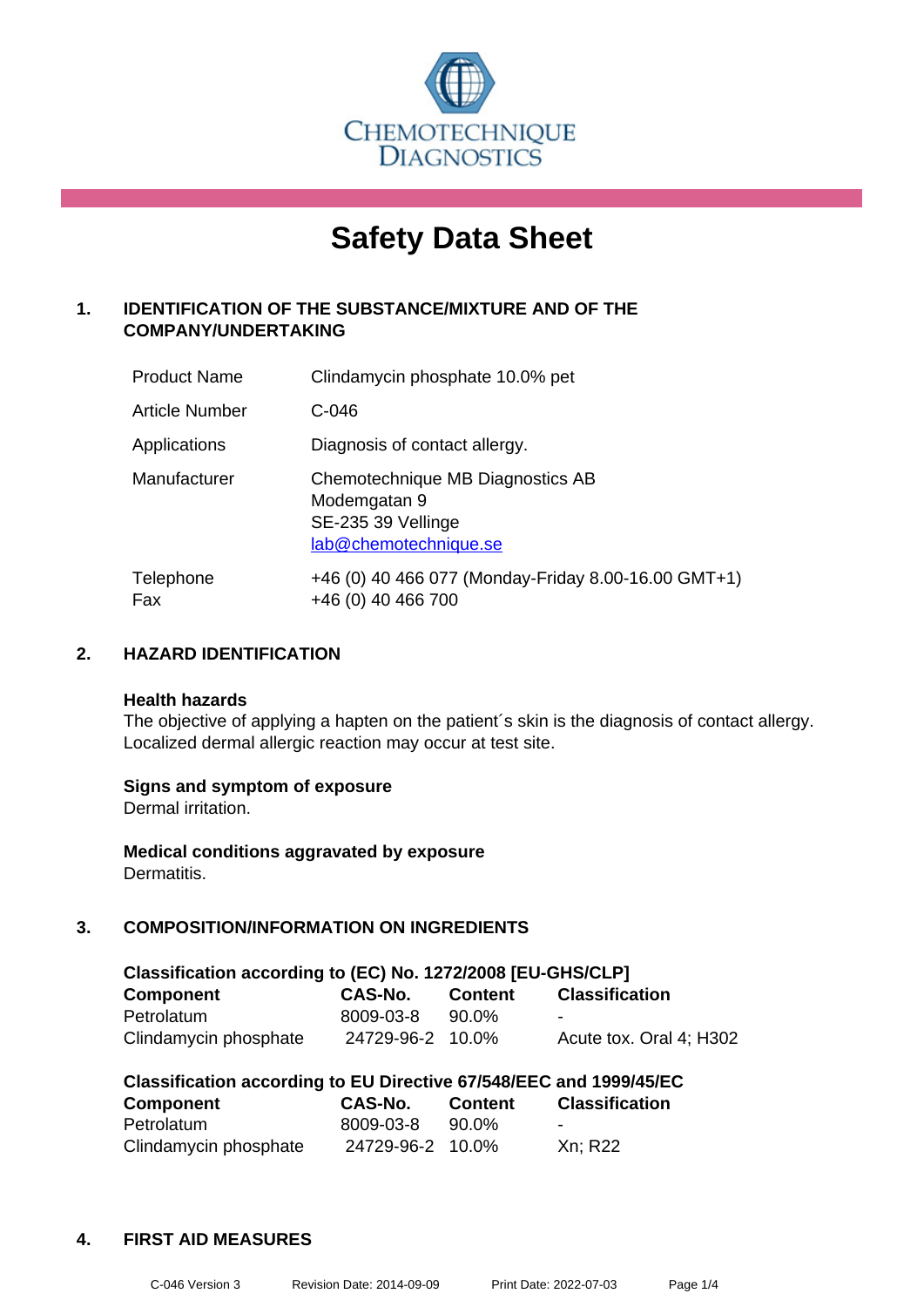

# **Safety Data Sheet**

## **1. IDENTIFICATION OF THE SUBSTANCE/MIXTURE AND OF THE COMPANY/UNDERTAKING**

| <b>Product Name</b> | Clindamycin phosphate 10.0% pet                                                                 |
|---------------------|-------------------------------------------------------------------------------------------------|
| Article Number      | C-046                                                                                           |
| Applications        | Diagnosis of contact allergy.                                                                   |
| Manufacturer        | Chemotechnique MB Diagnostics AB<br>Modemgatan 9<br>SE-235 39 Vellinge<br>lab@chemotechnique.se |
| Telephone<br>Fax    | +46 (0) 40 466 077 (Monday-Friday 8.00-16.00 GMT+1)<br>+46 (0) 40 466 700                       |

## **2. HAZARD IDENTIFICATION**

#### **Health hazards**

The objective of applying a hapten on the patient's skin is the diagnosis of contact allergy. Localized dermal allergic reaction may occur at test site.

## **Signs and symptom of exposure**

Dermal irritation.

**Medical conditions aggravated by exposure** Dermatitis.

## **3. COMPOSITION/INFORMATION ON INGREDIENTS**

| Classification according to (EC) No. 1272/2008 [EU-GHS/CLP] |                  |                |                         |  |  |
|-------------------------------------------------------------|------------------|----------------|-------------------------|--|--|
| <b>Component</b>                                            | CAS-No.          | <b>Content</b> | <b>Classification</b>   |  |  |
| Petrolatum                                                  | 8009-03-8        | 90.0%          | -                       |  |  |
| Clindamycin phosphate                                       | 24729-96-2 10.0% |                | Acute tox. Oral 4: H302 |  |  |

| Classification according to EU Directive 67/548/EEC and 1999/45/EC |                  |                |                          |  |  |
|--------------------------------------------------------------------|------------------|----------------|--------------------------|--|--|
| <b>Component</b>                                                   | CAS-No.          | <b>Content</b> | <b>Classification</b>    |  |  |
| Petrolatum                                                         | 8009-03-8        | 90.0%          | $\overline{\phantom{0}}$ |  |  |
| Clindamycin phosphate                                              | 24729-96-2 10.0% |                | Xn; R22                  |  |  |

## **4. FIRST AID MEASURES**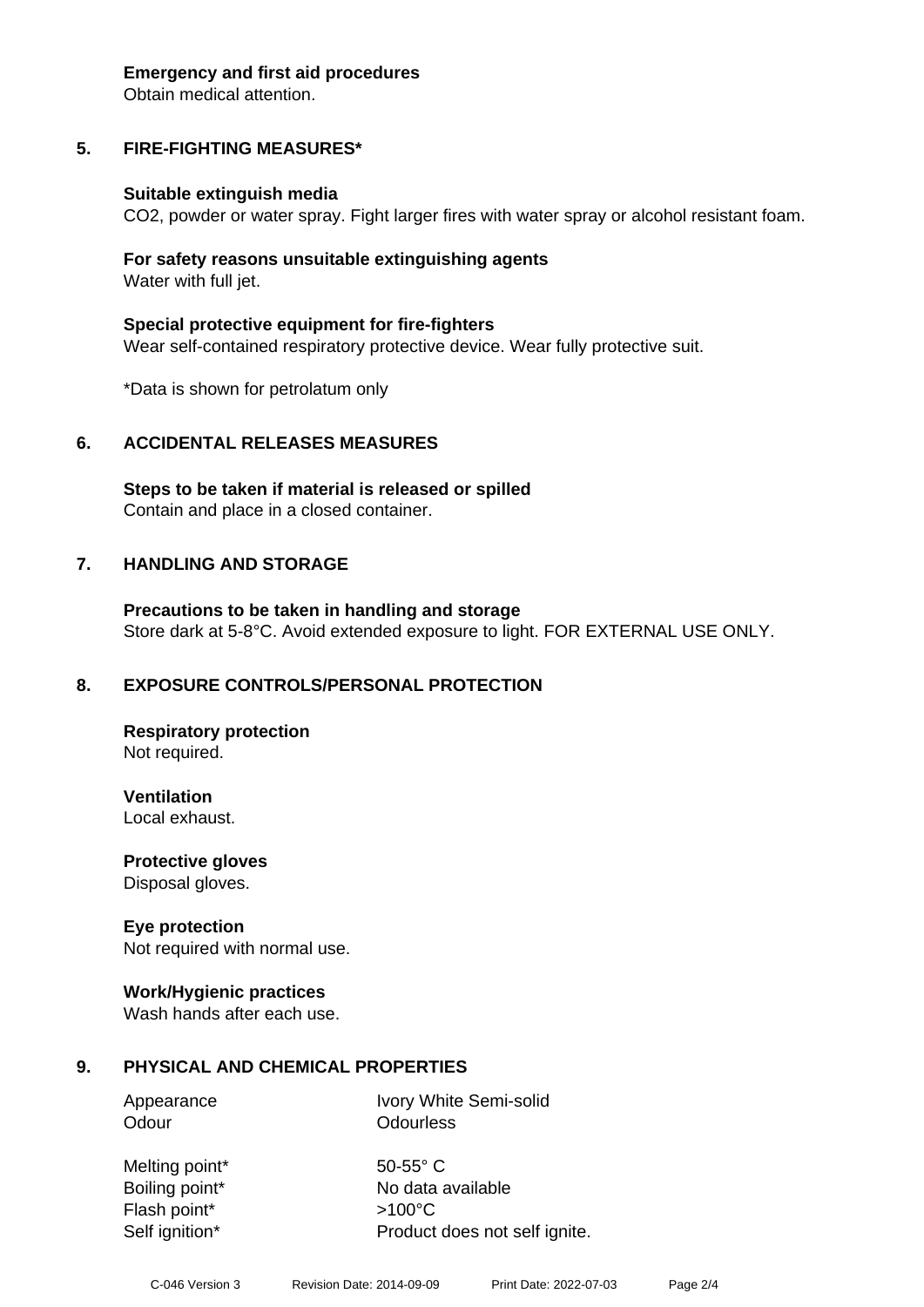#### **Emergency and first aid procedures**

Obtain medical attention.

# **5. FIRE-FIGHTING MEASURES\***

## **Suitable extinguish media**

CO2, powder or water spray. Fight larger fires with water spray or alcohol resistant foam.

## **For safety reasons unsuitable extinguishing agents** Water with full jet.

**Special protective equipment for fire-fighters** Wear self-contained respiratory protective device. Wear fully protective suit.

\*Data is shown for petrolatum only

# **6. ACCIDENTAL RELEASES MEASURES**

**Steps to be taken if material is released or spilled** Contain and place in a closed container.

# **7. HANDLING AND STORAGE**

**Precautions to be taken in handling and storage** Store dark at 5-8°C. Avoid extended exposure to light. FOR EXTERNAL USE ONLY.

# **8. EXPOSURE CONTROLS/PERSONAL PROTECTION**

**Respiratory protection** Not required.

**Ventilation** Local exhaust.

**Protective gloves**

Disposal gloves.

## **Eye protection**

Not required with normal use.

## **Work/Hygienic practices**

Wash hands after each use.

# **9. PHYSICAL AND CHEMICAL PROPERTIES**

Appearance Ivory White Semi-solid Odour **Odourless** 

Melting point\* 50-55° C Flash point\* >100°C

Boiling point\* No data available Self ignition\* Product does not self ignite.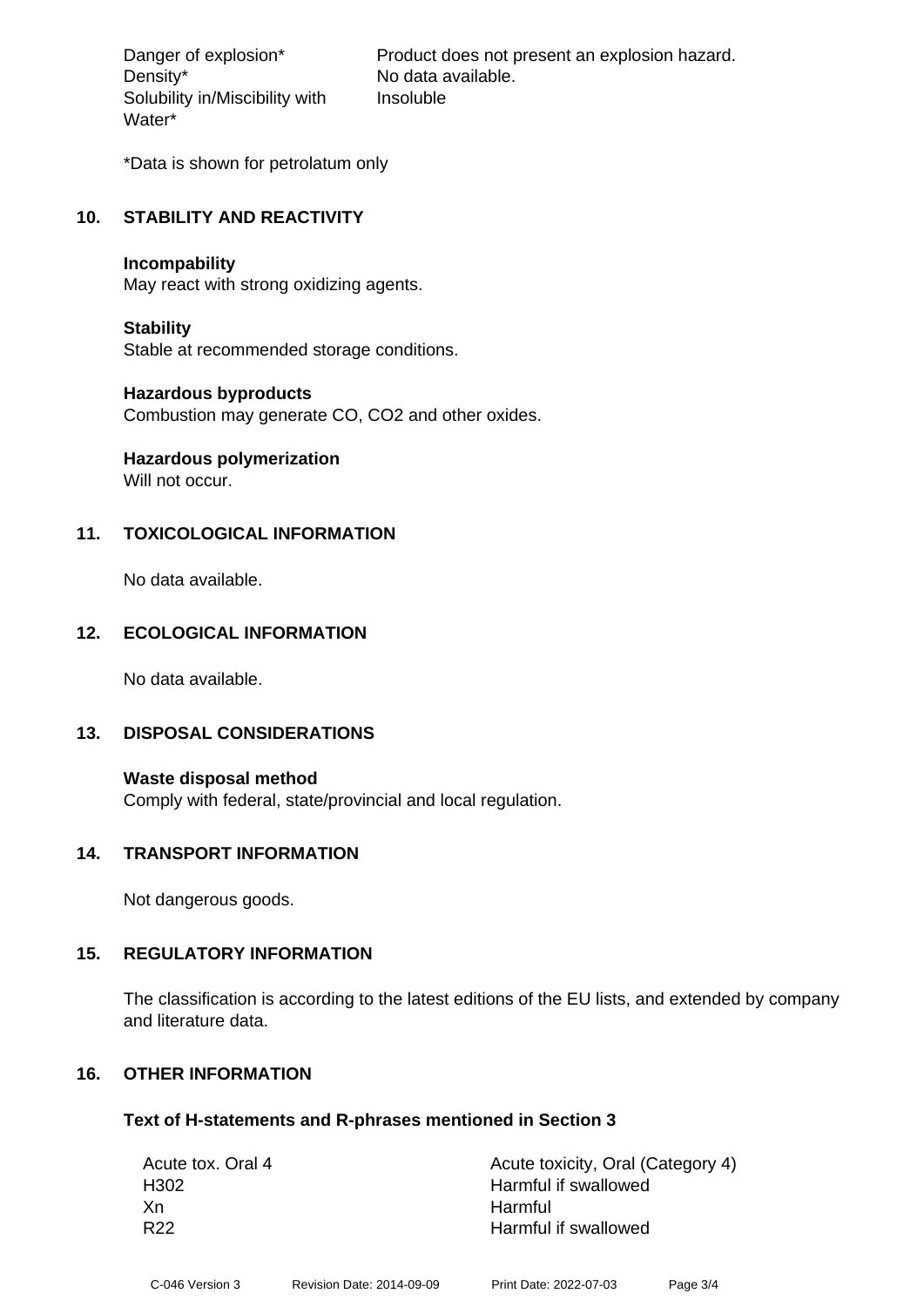Density\* No data available. Solubility in/Miscibility with Water\*

Danger of explosion\* Product does not present an explosion hazard. Insoluble

\*Data is shown for petrolatum only

## **10. STABILITY AND REACTIVITY**

#### **Incompability**

May react with strong oxidizing agents.

## **Stability**

Stable at recommended storage conditions.

## **Hazardous byproducts**

Combustion may generate CO, CO2 and other oxides.

# **Hazardous polymerization**

Will not occur.

## **11. TOXICOLOGICAL INFORMATION**

No data available.

## **12. ECOLOGICAL INFORMATION**

No data available.

## **13. DISPOSAL CONSIDERATIONS**

**Waste disposal method** Comply with federal, state/provincial and local regulation.

## **14. TRANSPORT INFORMATION**

Not dangerous goods.

## **15. REGULATORY INFORMATION**

The classification is according to the latest editions of the EU lists, and extended by company and literature data.

## **16. OTHER INFORMATION**

## **Text of H-statements and R-phrases mentioned in Section 3**

| Acute tox. Oral 4 | Acute toxicity, Oral (Category 4) |
|-------------------|-----------------------------------|
| H302              | Harmful if swallowed              |
| Xn                | Harmful                           |
| R <sub>22</sub>   | Harmful if swallowed              |
|                   |                                   |